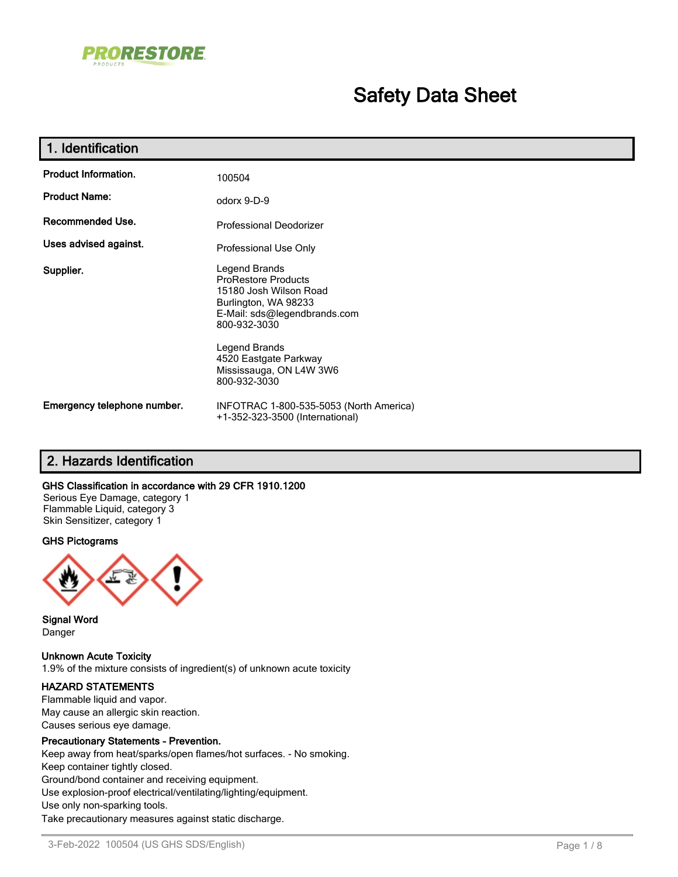

# **Safety Data Sheet**

| 1. Identification           |                                                                                                                                                                                         |
|-----------------------------|-----------------------------------------------------------------------------------------------------------------------------------------------------------------------------------------|
| <b>Product Information.</b> | 100504                                                                                                                                                                                  |
| <b>Product Name:</b>        | odorx 9-D-9                                                                                                                                                                             |
| Recommended Use.            | Professional Deodorizer                                                                                                                                                                 |
| Uses advised against.       | Professional Use Only                                                                                                                                                                   |
| Supplier.                   | Legend Brands<br><b>ProRestore Products</b><br>15180 Josh Wilson Road<br>Burlington, WA 98233<br>E-Mail: sds@legendbrands.com<br>800-932-3030<br>Legend Brands<br>4520 Eastgate Parkway |
|                             | Mississauga, ON L4W 3W6<br>800-932-3030                                                                                                                                                 |
| Emergency telephone number. | INFOTRAC 1-800-535-5053 (North America)<br>+1-352-323-3500 (International)                                                                                                              |

## **2. Hazards Identification**

### **GHS Classification in accordance with 29 CFR 1910.1200**

Serious Eye Damage, category 1 Flammable Liquid, category 3 Skin Sensitizer, category 1

### **GHS Pictograms**



**Signal Word** Danger

**Unknown Acute Toxicity**

1.9% of the mixture consists of ingredient(s) of unknown acute toxicity

### **HAZARD STATEMENTS**

Flammable liquid and vapor. May cause an allergic skin reaction. Causes serious eye damage.

### **Precautionary Statements - Prevention.**

Keep away from heat/sparks/open flames/hot surfaces. - No smoking. Keep container tightly closed. Ground/bond container and receiving equipment. Use explosion-proof electrical/ventilating/lighting/equipment. Use only non-sparking tools. Take precautionary measures against static discharge.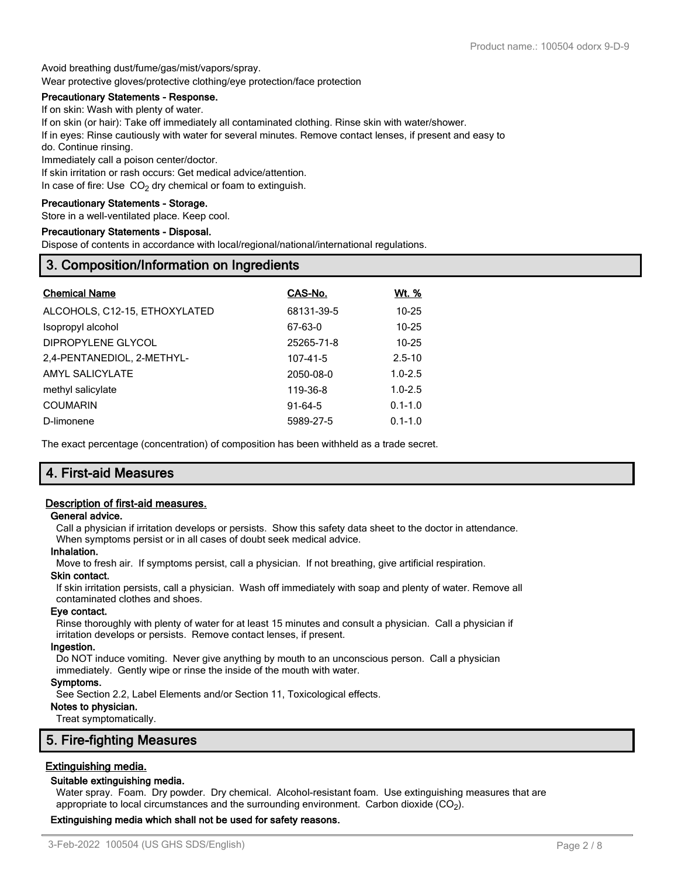Avoid breathing dust/fume/gas/mist/vapors/spray. Wear protective gloves/protective clothing/eye protection/face protection

### **Precautionary Statements - Response.**

If on skin: Wash with plenty of water.

If on skin (or hair): Take off immediately all contaminated clothing. Rinse skin with water/shower.

If in eyes: Rinse cautiously with water for several minutes. Remove contact lenses, if present and easy to do. Continue rinsing.

Immediately call a poison center/doctor.

If skin irritation or rash occurs: Get medical advice/attention. In case of fire: Use  $CO<sub>2</sub>$  dry chemical or foam to extinguish.

### **Precautionary Statements - Storage.**

Store in a well-ventilated place. Keep cool.

### **Precautionary Statements - Disposal.**

Dispose of contents in accordance with local/regional/national/international regulations.

## **3. Composition/Information on Ingredients**

| <b>Chemical Name</b>          | CAS-No.    | Wt. %       |
|-------------------------------|------------|-------------|
| ALCOHOLS, C12-15, ETHOXYLATED | 68131-39-5 | $10 - 25$   |
| Isopropyl alcohol             | 67-63-0    | $10 - 25$   |
| DIPROPYLENE GLYCOL            | 25265-71-8 | $10 - 25$   |
| 2,4-PENTANEDIOL, 2-METHYL-    | 107-41-5   | $2.5 - 10$  |
| AMYL SALICYLATE               | 2050-08-0  | $1.0 - 2.5$ |
| methyl salicylate             | 119-36-8   | $1.0 - 2.5$ |
| <b>COUMARIN</b>               | $91-64-5$  | $0.1 - 1.0$ |
| D-limonene                    | 5989-27-5  | $0.1 - 1.0$ |

The exact percentage (concentration) of composition has been withheld as a trade secret.

## **4. First-aid Measures**

### **Description of first-aid measures.**

### **General advice.**

Call a physician if irritation develops or persists. Show this safety data sheet to the doctor in attendance. When symptoms persist or in all cases of doubt seek medical advice.

## **Inhalation.**

Move to fresh air. If symptoms persist, call a physician. If not breathing, give artificial respiration.

### **Skin contact.**

If skin irritation persists, call a physician. Wash off immediately with soap and plenty of water. Remove all contaminated clothes and shoes.

### **Eye contact.**

Rinse thoroughly with plenty of water for at least 15 minutes and consult a physician. Call a physician if irritation develops or persists. Remove contact lenses, if present.

### **Ingestion.**

Do NOT induce vomiting. Never give anything by mouth to an unconscious person. Call a physician immediately. Gently wipe or rinse the inside of the mouth with water.

### **Symptoms.**

See Section 2.2, Label Elements and/or Section 11, Toxicological effects.

### **Notes to physician.**

Treat symptomatically.

## **5. Fire-fighting Measures**

## **Extinguishing media.**

### **Suitable extinguishing media.**

Water spray. Foam. Dry powder. Dry chemical. Alcohol-resistant foam. Use extinguishing measures that are appropriate to local circumstances and the surrounding environment. Carbon dioxide (CO<sub>2</sub>).

### **Extinguishing media which shall not be used for safety reasons.**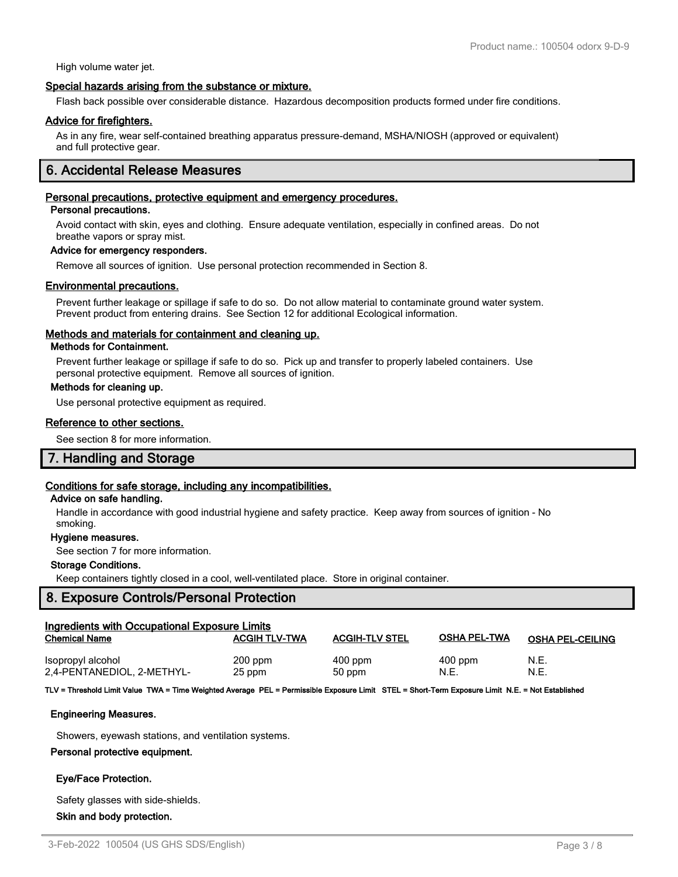High volume water jet.

### **Special hazards arising from the substance or mixture.**

Flash back possible over considerable distance. Hazardous decomposition products formed under fire conditions.

### **Advice for firefighters.**

As in any fire, wear self-contained breathing apparatus pressure-demand, MSHA/NIOSH (approved or equivalent) and full protective gear.

## **6. Accidental Release Measures**

### **Personal precautions, protective equipment and emergency procedures.**

### **Personal precautions.**

Avoid contact with skin, eyes and clothing. Ensure adequate ventilation, especially in confined areas. Do not breathe vapors or spray mist.

### **Advice for emergency responders.**

Remove all sources of ignition. Use personal protection recommended in Section 8.

### **Environmental precautions.**

Prevent further leakage or spillage if safe to do so. Do not allow material to contaminate ground water system. Prevent product from entering drains. See Section 12 for additional Ecological information.

### **Methods and materials for containment and cleaning up.**

### **Methods for Containment.**

Prevent further leakage or spillage if safe to do so. Pick up and transfer to properly labeled containers. Use personal protective equipment. Remove all sources of ignition.

### **Methods for cleaning up.**

Use personal protective equipment as required.

### **Reference to other sections.**

See section 8 for more information.

## **7. Handling and Storage**

### **Conditions for safe storage, including any incompatibilities.**

### **Advice on safe handling.**

Handle in accordance with good industrial hygiene and safety practice. Keep away from sources of ignition - No smoking.

### **Hygiene measures.**

See section 7 for more information.

### **Storage Conditions.**

Keep containers tightly closed in a cool, well-ventilated place. Store in original container.

### **8. Exposure Controls/Personal Protection**

| Ingredients with Occupational Exposure Limits<br><b>Chemical Name</b> | <b>ACGIH TLV-TWA</b> | <b>ACGIH-TLV STEL</b> | <b>OSHA PEL-TWA</b> | <b>OSHA PEL-CEILING</b> |
|-----------------------------------------------------------------------|----------------------|-----------------------|---------------------|-------------------------|
| Isopropyl alcohol                                                     | $200$ ppm            | $400$ ppm             | $400$ ppm           | N.E.                    |
| 2,4-PENTANEDIOL, 2-METHYL-                                            | 25 ppm               | 50 ppm                | N.E.                | N.E.                    |

**TLV = Threshold Limit Value TWA = Time Weighted Average PEL = Permissible Exposure Limit STEL = Short-Term Exposure Limit N.E. = Not Established**

### **Engineering Measures.**

Showers, eyewash stations, and ventilation systems.

### **Personal protective equipment.**

### **Eye/Face Protection.**

Safety glasses with side-shields.

 **Skin and body protection.**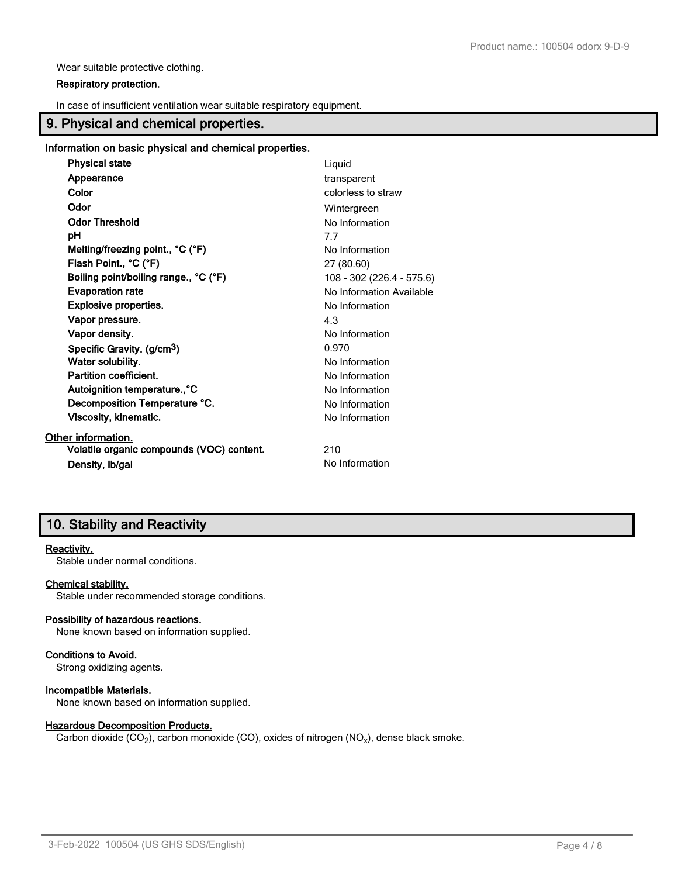Wear suitable protective clothing.

### **Respiratory protection.**

In case of insufficient ventilation wear suitable respiratory equipment.

## **9. Physical and chemical properties.**

### **Information on basic physical and chemical properties.**

| <b>Physical state</b>                     | Liquid                    |
|-------------------------------------------|---------------------------|
| Appearance                                | transparent               |
| Color                                     | colorless to straw        |
| Odor                                      | Wintergreen               |
| <b>Odor Threshold</b>                     | No Information            |
| рH                                        | 7.7                       |
| Melting/freezing point., °C (°F)          | No Information            |
| Flash Point., °C (°F)                     | 27 (80.60)                |
| Boiling point/boiling range., °C (°F)     | 108 - 302 (226.4 - 575.6) |
| <b>Evaporation rate</b>                   | No Information Available  |
| <b>Explosive properties.</b>              | No Information            |
| Vapor pressure.                           | 4.3                       |
| Vapor density.                            | No Information            |
| Specific Gravity. (g/cm <sup>3</sup> )    | 0.970                     |
| Water solubility.                         | No Information            |
| Partition coefficient.                    | No Information            |
| Autoignition temperature., °C             | No Information            |
| Decomposition Temperature °C.             | No Information            |
| Viscosity, kinematic.                     | No Information            |
| Other information.                        |                           |
| Volatile organic compounds (VOC) content. | 210                       |
| Density, Ib/gal                           | No Information            |

## **10. Stability and Reactivity**

### **Reactivity.**

Stable under normal conditions.

### **Chemical stability.**

Stable under recommended storage conditions.

## **Possibility of hazardous reactions.**

None known based on information supplied.

### **Conditions to Avoid.**

Strong oxidizing agents.

### **Incompatible Materials.**

None known based on information supplied.

### **Hazardous Decomposition Products.**

Carbon dioxide (CO<sub>2</sub>), carbon monoxide (CO), oxides of nitrogen (NO<sub>x</sub>), dense black smoke.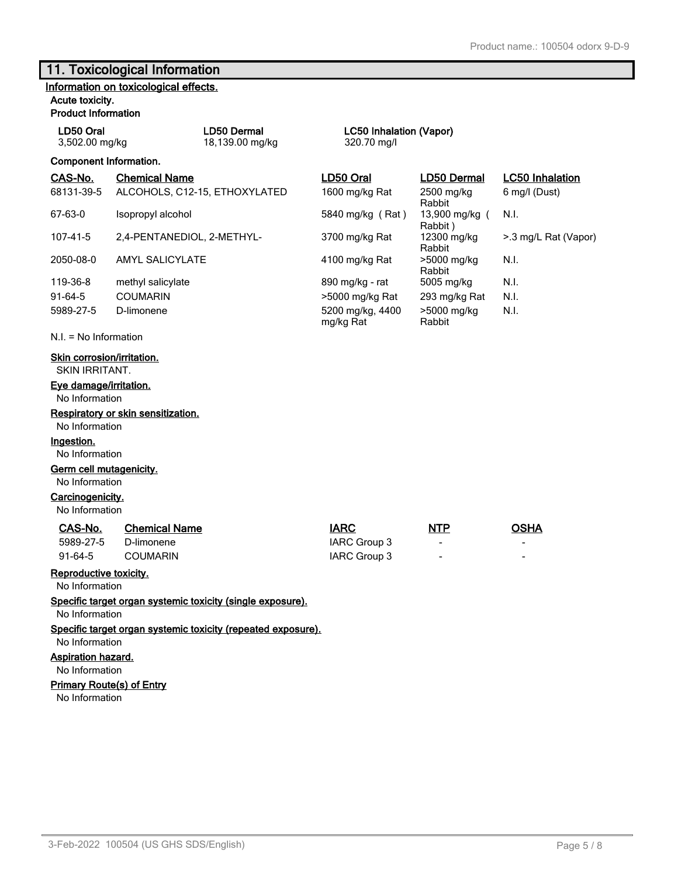6 mg/l (Dust)

>.3 mg/L Rat (Vapor)

N.I.

N.I.

N.I.

## **11. Toxicological Information**

|  | Information on toxicological effects. |  |
|--|---------------------------------------|--|
|  |                                       |  |

## **Acute toxicity.**

**Product Information**

| LD50 Oral      | LD50 Dern |
|----------------|-----------|
| 3,502.00 mg/kg | 18,139.00 |

#### **ADDELGEE CONTENTS** LC50 Inhalation (Vapor) mg/kg 18,139.70 mg/l

**Component Information. CAS-No. Chemical Name LD50 Oral LD50 Dermal LC50 Inhalation** 68131-39-5 ALCOHOLS, C12-15, ETHOXYLATED 1600 mg/kg Rat 2500 mg/kg Rabbit<br>13,900 mg/kg ( 67-63-0 Isopropyl alcohol 13,900 mg/kg (Rat ) Rabbit)<br>12300 mg/kg 107-41-5 2,4-PENTANEDIOL, 2-METHYL- 3700 mg/kg Rat Rabbit 2050-08-0 AMYL SALICYLATE 4100 mg/kg Rat >5000 mg/kg Rabbit<br>5005 mg/kg 119-36-8 methyl salicylate 890 mg/kg - rat 5005 mg/kg N.I. 91-64-5 COUMARIN > 5000 mg/kg Rat 293 mg/kg Rat N.I. 5989-27-5 D-limonene 5200 mg/kg, 4400 mg/kg Rat >5000 mg/kg Rabbit

N.I. = No Information

### **Skin corrosion/irritation.**

SKIN IRRITANT.

### **Eye damage/irritation.**

No Information

### **Respiratory or skin sensitization.**

No Information

### **Ingestion.**

### No Information

**Germ cell mutagenicity.**

No Information

## **Carcinogenicity.**

No Information

| CAS-No.   | <b>Chemical Name</b> | <b>IARC</b>  | <u>NTP</u>     | OSHA           |
|-----------|----------------------|--------------|----------------|----------------|
| 5989-27-5 | D-limonene           | IARC Group 3 | $\blacksquare$ | $\blacksquare$ |
| 91-64-5   | COUMARIN             | IARC Group 3 | $\sim$         | $\blacksquare$ |

### **Reproductive toxicity.**

No Information

**Specific target organ systemic toxicity (single exposure).**

No Information

**Specific target organ systemic toxicity (repeated exposure).**

No Information

**Aspiration hazard.**

No Information

### **Primary Route(s) of Entry**

No Information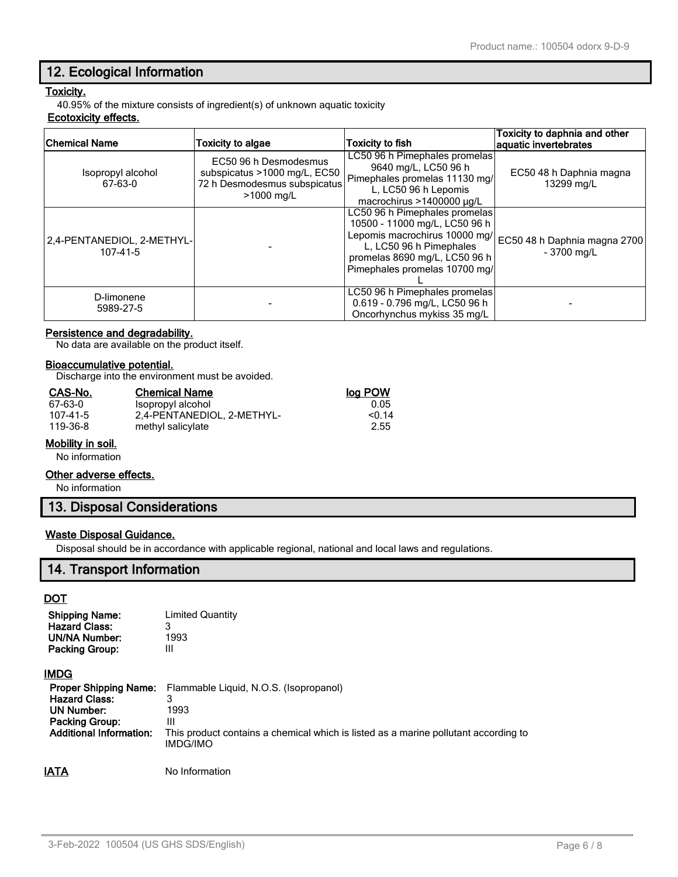## **12. Ecological Information**

## **Toxicity.**

40.95% of the mixture consists of ingredient(s) of unknown aquatic toxicity

## **Ecotoxicity effects.**

| Chemical Name                          | <b>Toxicity to algae</b>                                                                            | <b>Toxicity to fish</b>                                                                                                                                                                      | Toxicity to daphnia and other<br>aquatic invertebrates |
|----------------------------------------|-----------------------------------------------------------------------------------------------------|----------------------------------------------------------------------------------------------------------------------------------------------------------------------------------------------|--------------------------------------------------------|
| Isopropyl alcohol<br>67-63-0           | EC50 96 h Desmodesmus<br>subspicatus >1000 mg/L, EC50<br>72 h Desmodesmus subspicatus<br>>1000 mg/L | LC50 96 h Pimephales promelas<br>9640 mg/L, LC50 96 h<br>Pimephales promelas 11130 mg/<br>L, LC50 96 h Lepomis<br>macrochirus >1400000 $\mu$ g/L                                             | EC50 48 h Daphnia magna<br>13299 mg/L                  |
| 2,4-PENTANEDIOL, 2-METHYL-<br>107-41-5 |                                                                                                     | LC50 96 h Pimephales promelas<br>10500 - 11000 mg/L, LC50 96 h<br>Lepomis macrochirus 10000 mg/<br>L, LC50 96 h Pimephales<br>promelas 8690 mg/L, LC50 96 h<br>Pimephales promelas 10700 mg/ | EC50 48 h Daphnia magna 2700<br>$-3700$ mg/L           |
| D-limonene<br>5989-27-5                |                                                                                                     | LC50 96 h Pimephales promelas<br>0.619 - 0.796 mg/L, LC50 96 h<br>Oncorhynchus mykiss 35 mg/L                                                                                                |                                                        |

## **Persistence and degradability.**

No data are available on the product itself.

### **Bioaccumulative potential.**

Discharge into the environment must be avoided.

| CAS-No.        | <b>Chemical Name</b>       | log POW |
|----------------|----------------------------|---------|
| 67-63-0        | Isopropyl alcohol          | 0.05    |
| $107 - 41 - 5$ | 2,4-PENTANEDIOL, 2-METHYL- | < 0.14  |
| 119-36-8       | methyl salicylate          | 2.55    |

### **Mobility in soil.**

No information

### **Other adverse effects.**

No information

## **13. Disposal Considerations**

### **Waste Disposal Guidance.**

Disposal should be in accordance with applicable regional, national and local laws and regulations.

## **14. Transport Information**

**DOT**

| <b>Limited Quantity</b><br>3 |
|------------------------------|
| 1993                         |
| Ш                            |
|                              |

### **IMDG**

|                                | <b>Proper Shipping Name:</b> Flammable Liquid, N.O.S. (Isopropanol)                             |
|--------------------------------|-------------------------------------------------------------------------------------------------|
| <b>Hazard Class:</b>           |                                                                                                 |
| UN Number:                     | 1993                                                                                            |
| <b>Packing Group:</b>          | Ш                                                                                               |
| <b>Additional Information:</b> | This product contains a chemical which is listed as a marine pollutant according to<br>IMDG/IMO |
|                                |                                                                                                 |

**IATA** No Information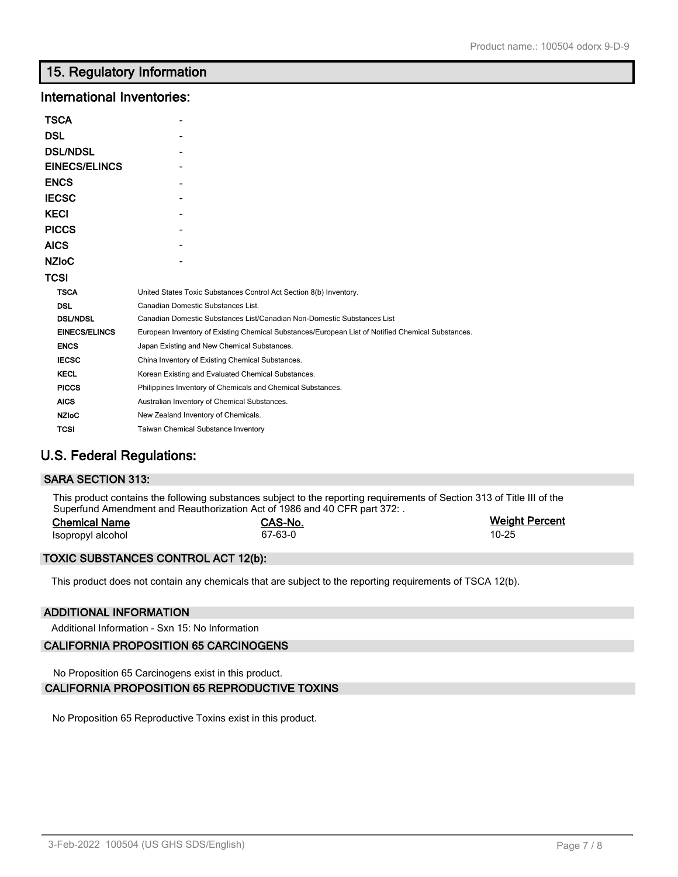## **15. Regulatory Information**

## **International Inventories:**

| TSCA                 |                                                                                                   |
|----------------------|---------------------------------------------------------------------------------------------------|
| DSL                  |                                                                                                   |
| <b>DSL/NDSL</b>      |                                                                                                   |
| <b>EINECS/ELINCS</b> |                                                                                                   |
| ENCS                 |                                                                                                   |
| IECSC                |                                                                                                   |
| KECI                 |                                                                                                   |
| <b>PICCS</b>         |                                                                                                   |
| AICS                 |                                                                                                   |
| NZIoC                |                                                                                                   |
| TCSI                 |                                                                                                   |
| <b>TSCA</b>          | United States Toxic Substances Control Act Section 8(b) Inventory.                                |
| <b>DSL</b>           | Canadian Domestic Substances List.                                                                |
| <b>DSL/NDSL</b>      | Canadian Domestic Substances List/Canadian Non-Domestic Substances List                           |
| <b>EINECS/ELINCS</b> | European Inventory of Existing Chemical Substances/European List of Notified Chemical Substances. |
| <b>ENCS</b>          | Japan Existing and New Chemical Substances.                                                       |
| <b>IECSC</b>         | China Inventory of Existing Chemical Substances.                                                  |
| <b>KECL</b>          | Korean Existing and Evaluated Chemical Substances.                                                |
| <b>PICCS</b>         | Philippines Inventory of Chemicals and Chemical Substances.                                       |
| <b>AICS</b>          | Australian Inventory of Chemical Substances.                                                      |
| <b>NZIoC</b>         | New Zealand Inventory of Chemicals.                                                               |
| <b>TCSI</b>          | <b>Taiwan Chemical Substance Inventory</b>                                                        |

## **U.S. Federal Regulations:**

### **SARA SECTION 313:**

This product contains the following substances subject to the reporting requirements of Section 313 of Title III of the Superfund Amendment and Reauthorization Act of 1986 and 40 CFR part 372: .

| <b>Chemical Name</b> | CAS-No. | <b>Weight Percent</b> |
|----------------------|---------|-----------------------|
| Isopropyl alcohol    | 67-63-0 | $10 - 25$             |

### **TOXIC SUBSTANCES CONTROL ACT 12(b):**

This product does not contain any chemicals that are subject to the reporting requirements of TSCA 12(b).

### **ADDITIONAL INFORMATION**

Additional Information - Sxn 15: No Information

### **CALIFORNIA PROPOSITION 65 CARCINOGENS**

No Proposition 65 Carcinogens exist in this product.

### **CALIFORNIA PROPOSITION 65 REPRODUCTIVE TOXINS**

No Proposition 65 Reproductive Toxins exist in this product.